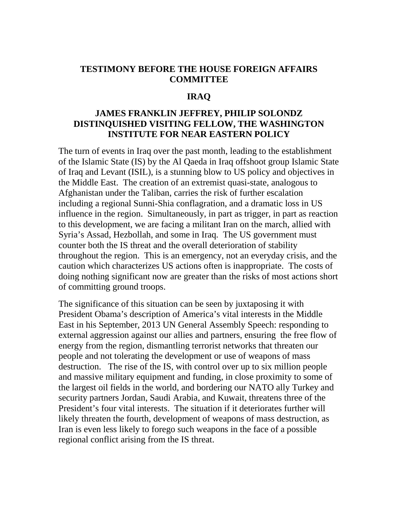# **TESTIMONY BEFORE THE HOUSE FOREIGN AFFAIRS COMMITTEE**

### **IRAQ**

## **JAMES FRANKLIN JEFFREY, PHILIP SOLONDZ DISTINQUISHED VISITING FELLOW, THE WASHINGTON INSTITUTE FOR NEAR EASTERN POLICY**

The turn of events in Iraq over the past month, leading to the establishment of the Islamic State (IS) by the Al Qaeda in Iraq offshoot group Islamic State of Iraq and Levant (ISIL), is a stunning blow to US policy and objectives in the Middle East. The creation of an extremist quasi-state, analogous to Afghanistan under the Taliban, carries the risk of further escalation including a regional Sunni-Shia conflagration, and a dramatic loss in US influence in the region. Simultaneously, in part as trigger, in part as reaction to this development, we are facing a militant Iran on the march, allied with Syria's Assad, Hezbollah, and some in Iraq. The US government must counter both the IS threat and the overall deterioration of stability throughout the region. This is an emergency, not an everyday crisis, and the caution which characterizes US actions often is inappropriate. The costs of doing nothing significant now are greater than the risks of most actions short of committing ground troops.

The significance of this situation can be seen by juxtaposing it with President Obama's description of America's vital interests in the Middle East in his September, 2013 UN General Assembly Speech: responding to external aggression against our allies and partners, ensuring the free flow of energy from the region, dismantling terrorist networks that threaten our people and not tolerating the development or use of weapons of mass destruction. The rise of the IS, with control over up to six million people and massive military equipment and funding, in close proximity to some of the largest oil fields in the world, and bordering our NATO ally Turkey and security partners Jordan, Saudi Arabia, and Kuwait, threatens three of the President's four vital interests. The situation if it deteriorates further will likely threaten the fourth, development of weapons of mass destruction, as Iran is even less likely to forego such weapons in the face of a possible regional conflict arising from the IS threat.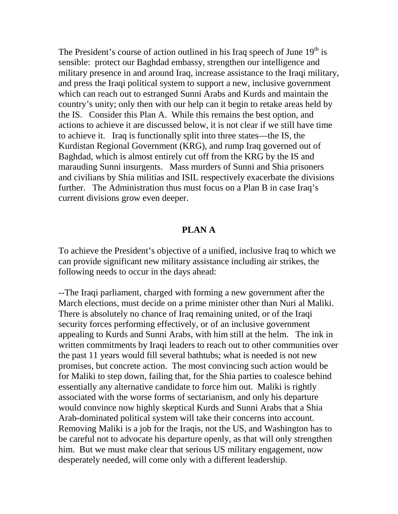The President's course of action outlined in his Iraq speech of June  $19<sup>th</sup>$  is sensible: protect our Baghdad embassy, strengthen our intelligence and military presence in and around Iraq, increase assistance to the Iraqi military, and press the Iraqi political system to support a new, inclusive government which can reach out to estranged Sunni Arabs and Kurds and maintain the country's unity; only then with our help can it begin to retake areas held by the IS. Consider this Plan A. While this remains the best option, and actions to achieve it are discussed below, it is not clear if we still have time to achieve it. Iraq is functionally split into three states—the IS, the Kurdistan Regional Government (KRG), and rump Iraq governed out of Baghdad, which is almost entirely cut off from the KRG by the IS and marauding Sunni insurgents. Mass murders of Sunni and Shia prisoners and civilians by Shia militias and ISIL respectively exacerbate the divisions further. The Administration thus must focus on a Plan B in case Iraq's current divisions grow even deeper.

#### **PLAN A**

To achieve the President's objective of a unified, inclusive Iraq to which we can provide significant new military assistance including air strikes, the following needs to occur in the days ahead:

--The Iraqi parliament, charged with forming a new government after the March elections, must decide on a prime minister other than Nuri al Maliki. There is absolutely no chance of Iraq remaining united, or of the Iraqi security forces performing effectively, or of an inclusive government appealing to Kurds and Sunni Arabs, with him still at the helm. The ink in written commitments by Iraqi leaders to reach out to other communities over the past 11 years would fill several bathtubs; what is needed is not new promises, but concrete action. The most convincing such action would be for Maliki to step down, failing that, for the Shia parties to coalesce behind essentially any alternative candidate to force him out. Maliki is rightly associated with the worse forms of sectarianism, and only his departure would convince now highly skeptical Kurds and Sunni Arabs that a Shia Arab-dominated political system will take their concerns into account. Removing Maliki is a job for the Iraqis, not the US, and Washington has to be careful not to advocate his departure openly, as that will only strengthen him. But we must make clear that serious US military engagement, now desperately needed, will come only with a different leadership.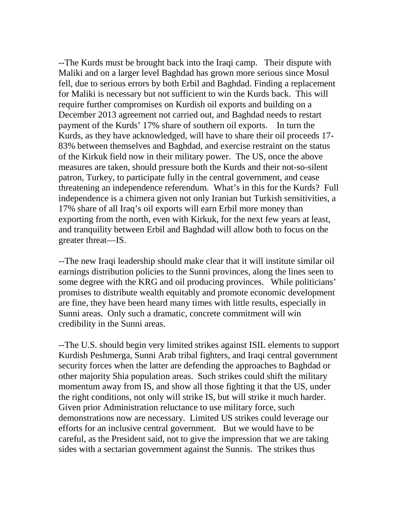--The Kurds must be brought back into the Iraqi camp. Their dispute with Maliki and on a larger level Baghdad has grown more serious since Mosul fell, due to serious errors by both Erbil and Baghdad. Finding a replacement for Maliki is necessary but not sufficient to win the Kurds back. This will require further compromises on Kurdish oil exports and building on a December 2013 agreement not carried out, and Baghdad needs to restart payment of the Kurds' 17% share of southern oil exports. In turn the Kurds, as they have acknowledged, will have to share their oil proceeds 17- 83% between themselves and Baghdad, and exercise restraint on the status of the Kirkuk field now in their military power. The US, once the above measures are taken, should pressure both the Kurds and their not-so-silent patron, Turkey, to participate fully in the central government, and cease threatening an independence referendum. What's in this for the Kurds? Full independence is a chimera given not only Iranian but Turkish sensitivities, a 17% share of all Iraq's oil exports will earn Erbil more money than exporting from the north, even with Kirkuk, for the next few years at least, and tranquility between Erbil and Baghdad will allow both to focus on the greater threat—IS.

--The new Iraqi leadership should make clear that it will institute similar oil earnings distribution policies to the Sunni provinces, along the lines seen to some degree with the KRG and oil producing provinces. While politicians' promises to distribute wealth equitably and promote economic development are fine, they have been heard many times with little results, especially in Sunni areas. Only such a dramatic, concrete commitment will win credibility in the Sunni areas.

--The U.S. should begin very limited strikes against ISIL elements to support Kurdish Peshmerga, Sunni Arab tribal fighters, and Iraqi central government security forces when the latter are defending the approaches to Baghdad or other majority Shia population areas. Such strikes could shift the military momentum away from IS, and show all those fighting it that the US, under the right conditions, not only will strike IS, but will strike it much harder. Given prior Administration reluctance to use military force, such demonstrations now are necessary. Limited US strikes could leverage our efforts for an inclusive central government. But we would have to be careful, as the President said, not to give the impression that we are taking sides with a sectarian government against the Sunnis. The strikes thus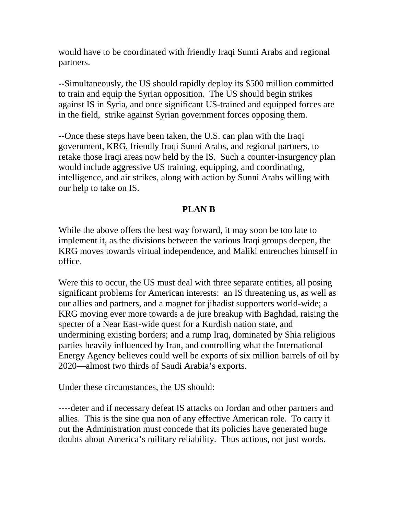would have to be coordinated with friendly Iraqi Sunni Arabs and regional partners.

--Simultaneously, the US should rapidly deploy its \$500 million committed to train and equip the Syrian opposition. The US should begin strikes against IS in Syria, and once significant US-trained and equipped forces are in the field, strike against Syrian government forces opposing them.

--Once these steps have been taken, the U.S. can plan with the Iraqi government, KRG, friendly Iraqi Sunni Arabs, and regional partners, to retake those Iraqi areas now held by the IS. Such a counter-insurgency plan would include aggressive US training, equipping, and coordinating, intelligence, and air strikes, along with action by Sunni Arabs willing with our help to take on IS.

### **PLAN B**

While the above offers the best way forward, it may soon be too late to implement it, as the divisions between the various Iraqi groups deepen, the KRG moves towards virtual independence, and Maliki entrenches himself in office.

Were this to occur, the US must deal with three separate entities, all posing significant problems for American interests: an IS threatening us, as well as our allies and partners, and a magnet for jihadist supporters world-wide; a KRG moving ever more towards a de jure breakup with Baghdad, raising the specter of a Near East-wide quest for a Kurdish nation state, and undermining existing borders; and a rump Iraq, dominated by Shia religious parties heavily influenced by Iran, and controlling what the International Energy Agency believes could well be exports of six million barrels of oil by 2020—almost two thirds of Saudi Arabia's exports.

Under these circumstances, the US should:

----deter and if necessary defeat IS attacks on Jordan and other partners and allies. This is the sine qua non of any effective American role. To carry it out the Administration must concede that its policies have generated huge doubts about America's military reliability. Thus actions, not just words.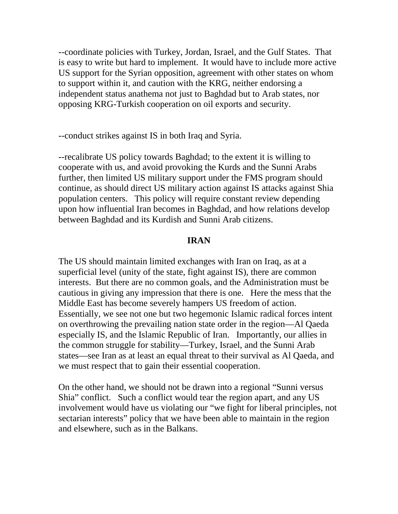--coordinate policies with Turkey, Jordan, Israel, and the Gulf States. That is easy to write but hard to implement. It would have to include more active US support for the Syrian opposition, agreement with other states on whom to support within it, and caution with the KRG, neither endorsing a independent status anathema not just to Baghdad but to Arab states, nor opposing KRG-Turkish cooperation on oil exports and security.

--conduct strikes against IS in both Iraq and Syria.

--recalibrate US policy towards Baghdad; to the extent it is willing to cooperate with us, and avoid provoking the Kurds and the Sunni Arabs further, then limited US military support under the FMS program should continue, as should direct US military action against IS attacks against Shia population centers. This policy will require constant review depending upon how influential Iran becomes in Baghdad, and how relations develop between Baghdad and its Kurdish and Sunni Arab citizens.

### **IRAN**

The US should maintain limited exchanges with Iran on Iraq, as at a superficial level (unity of the state, fight against IS), there are common interests. But there are no common goals, and the Administration must be cautious in giving any impression that there is one. Here the mess that the Middle East has become severely hampers US freedom of action. Essentially, we see not one but two hegemonic Islamic radical forces intent on overthrowing the prevailing nation state order in the region—Al Qaeda especially IS, and the Islamic Republic of Iran. Importantly, our allies in the common struggle for stability—Turkey, Israel, and the Sunni Arab states—see Iran as at least an equal threat to their survival as Al Qaeda, and we must respect that to gain their essential cooperation.

On the other hand, we should not be drawn into a regional "Sunni versus Shia" conflict. Such a conflict would tear the region apart, and any US involvement would have us violating our "we fight for liberal principles, not sectarian interests" policy that we have been able to maintain in the region and elsewhere, such as in the Balkans.